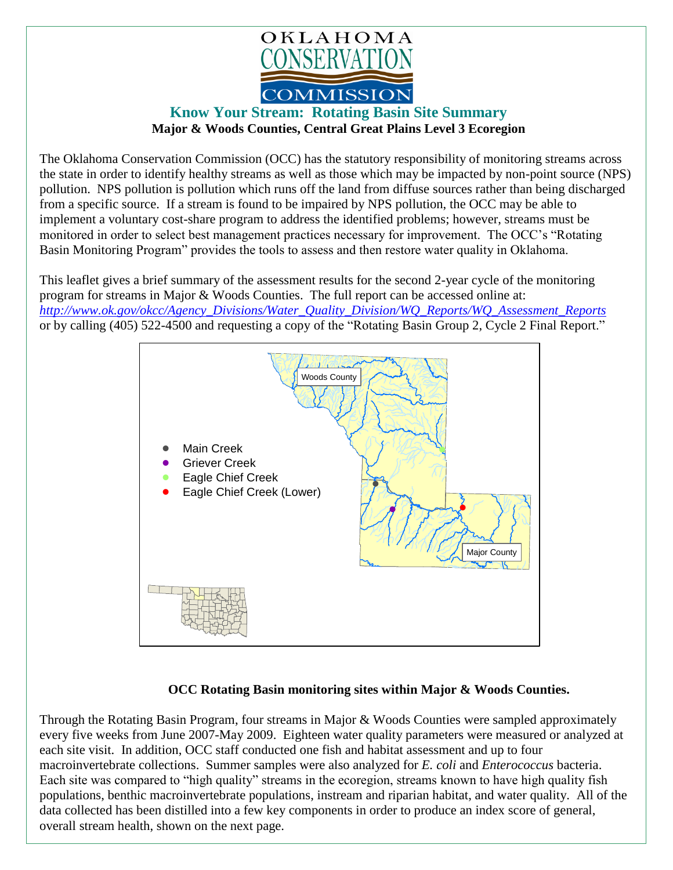

## **Know Your Stream: Rotating Basin Site Summary Major & Woods Counties, Central Great Plains Level 3 Ecoregion**

The Oklahoma Conservation Commission (OCC) has the statutory responsibility of monitoring streams across the state in order to identify healthy streams as well as those which may be impacted by non-point source (NPS) pollution. NPS pollution is pollution which runs off the land from diffuse sources rather than being discharged from a specific source. If a stream is found to be impaired by NPS pollution, the OCC may be able to implement a voluntary cost-share program to address the identified problems; however, streams must be monitored in order to select best management practices necessary for improvement. The OCC's "Rotating Basin Monitoring Program" provides the tools to assess and then restore water quality in Oklahoma.

This leaflet gives a brief summary of the assessment results for the second 2-year cycle of the monitoring program for streams in Major & Woods Counties. The full report can be accessed online at: *[http://www.ok.gov/okcc/Agency\\_Divisions/Water\\_Quality\\_Division/WQ\\_Reports/WQ\\_Assessment\\_Reports](http://www.ok.gov/okcc/Agency_Divisions/Water_Quality_Division/WQ_Reports/WQ_Assessment_Reports)* or by calling (405) 522-4500 and requesting a copy of the "Rotating Basin Group 2, Cycle 2 Final Report."



## **OCC Rotating Basin monitoring sites within Major & Woods Counties.**

Through the Rotating Basin Program, four streams in Major & Woods Counties were sampled approximately every five weeks from June 2007-May 2009. Eighteen water quality parameters were measured or analyzed at each site visit. In addition, OCC staff conducted one fish and habitat assessment and up to four macroinvertebrate collections. Summer samples were also analyzed for *E. coli* and *Enterococcus* bacteria. Each site was compared to "high quality" streams in the ecoregion, streams known to have high quality fish populations, benthic macroinvertebrate populations, instream and riparian habitat, and water quality. All of the data collected has been distilled into a few key components in order to produce an index score of general, overall stream health, shown on the next page.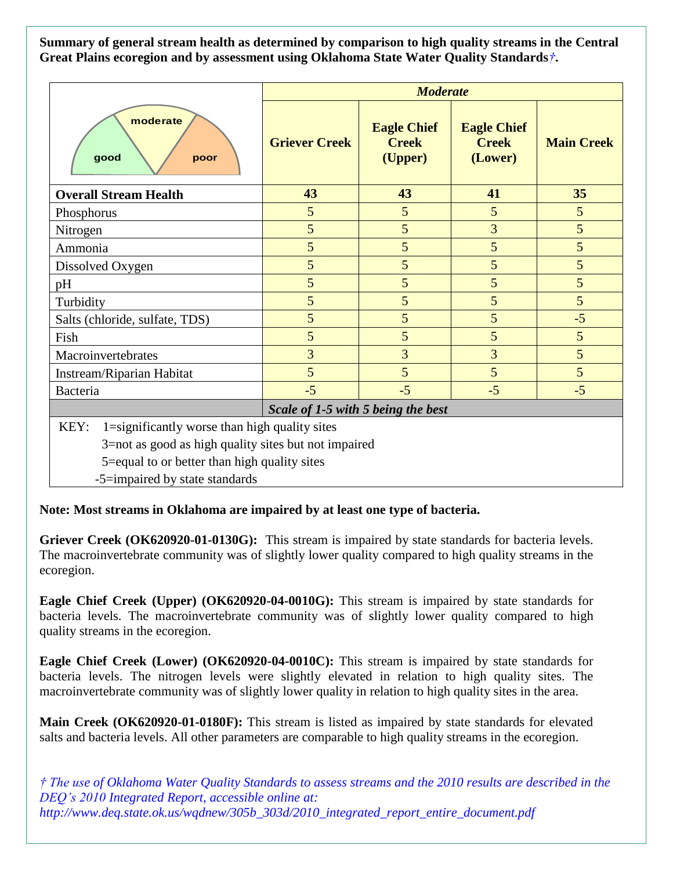**Summary of general stream health as determined by comparison to high quality streams in the Central Great Plains ecoregion and by assessment using Oklahoma State Water Quality Standards***†***.**

|                                                       | <b>Moderate</b>      |                                               |                                               |                   |
|-------------------------------------------------------|----------------------|-----------------------------------------------|-----------------------------------------------|-------------------|
| moderate<br>good<br>poor                              | <b>Griever Creek</b> | <b>Eagle Chief</b><br><b>Creek</b><br>(Upper) | <b>Eagle Chief</b><br><b>Creek</b><br>(Lower) | <b>Main Creek</b> |
| <b>Overall Stream Health</b>                          | 43                   | 43                                            | 41                                            | 35                |
| Phosphorus                                            | 5                    | 5                                             | 5                                             | 5                 |
| Nitrogen                                              | 5                    | 5                                             | 3                                             | 5                 |
| Ammonia                                               | 5                    | 5                                             | 5                                             | 5                 |
| Dissolved Oxygen                                      | 5                    | 5                                             | 5                                             | 5                 |
| pH                                                    | 5                    | 5                                             | 5                                             | 5                 |
| Turbidity                                             | 5                    | 5                                             | 5                                             | 5                 |
| Salts (chloride, sulfate, TDS)                        | 5                    | 5                                             | 5                                             | $-5$              |
| Fish                                                  | 5                    | 5                                             | 5                                             | 5                 |
| Macroinvertebrates                                    | 3                    | 3                                             | 3                                             | 5                 |
| Instream/Riparian Habitat                             | 5                    | 5                                             | 5                                             | $5\overline{)}$   |
| Bacteria                                              | $-5$                 | $-5$                                          | $-5$                                          | $-5$              |
| Scale of 1-5 with 5 being the best                    |                      |                                               |                                               |                   |
| KEY:<br>1=significantly worse than high quality sites |                      |                                               |                                               |                   |
| 3=not as good as high quality sites but not impaired  |                      |                                               |                                               |                   |
| 5=equal to or better than high quality sites          |                      |                                               |                                               |                   |

-5=impaired by state standards

**Note: Most streams in Oklahoma are impaired by at least one type of bacteria.**

**Griever Creek (OK620920-01-0130G):** This stream is impaired by state standards for bacteria levels. The macroinvertebrate community was of slightly lower quality compared to high quality streams in the ecoregion.

**Eagle Chief Creek (Upper) (OK620920-04-0010G):** This stream is impaired by state standards for bacteria levels. The macroinvertebrate community was of slightly lower quality compared to high quality streams in the ecoregion.

**Eagle Chief Creek (Lower) (OK620920-04-0010C):** This stream is impaired by state standards for bacteria levels. The nitrogen levels were slightly elevated in relation to high quality sites. The macroinvertebrate community was of slightly lower quality in relation to high quality sites in the area.

**Main Creek (OK620920-01-0180F):** This stream is listed as impaired by state standards for elevated salts and bacteria levels. All other parameters are comparable to high quality streams in the ecoregion.

*† The use of Oklahoma Water Quality Standards to assess streams and the 2010 results are described in the DEQ's 2010 Integrated Report, accessible online at: http://www.deq.state.ok.us/wqdnew/305b\_303d/2010\_integrated\_report\_entire\_document.pdf*